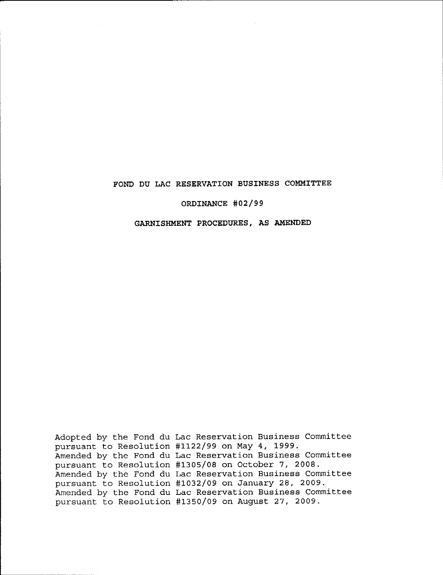# FOND DU LAC RESERVATION BUSINESS COMMITTEE

#### oRDTNANCE #02/99

# GARNISHMENT PROCEDURES, AS AMENDED

Adopted by the Fond du Lac ReservaLion Business Committee pursuant to Resolution #LI22/99 on May 4, 1999. Amended by the Fond du Lac Reservation Business Committee pursuant to Resolution #1305/08 on october 7 , 2008. Amended by the Fond du Lac Reservation Business Committee pursuant to Resolution #1032/09 on January 28, 2009. Amended by the Fond du Lac Reservation Business Committee pursuant to Resolution #1350/09 on August 27 , 2009.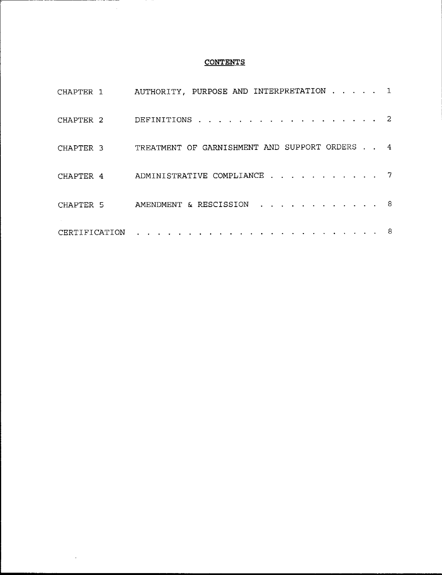# **CONTENTS**

 $\sim 10^7$ 

| CHAPTER 1     | AUTHORITY, PURPOSE AND INTERPRETATION 1       |   |
|---------------|-----------------------------------------------|---|
| CHAPTER 2     | DEFINITIONS 2                                 |   |
| CHAPTER 3     | TREATMENT OF GARNISHMENT AND SUPPORT ORDERS 4 |   |
| CHAPTER 4     | ADMINISTRATIVE COMPLIANCE                     | 7 |
| CHAPTER 5     | AMENDMENT & RESCISSION 8                      |   |
| CERTIFICATION | 8<br>$\cdot$ $\cdot$ $\cdot$ $\cdot$ $\cdot$  |   |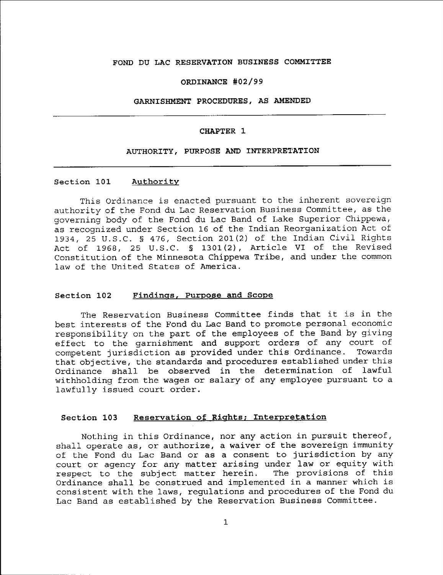# FOND DU LAC RESERVATION BUSINESS COMMITTEE

#### ORDINANCE #02/99

# GARNISHMENT PROCEDURES, AS AMENDED

#### CHAPTER 1

## AUTHORITY, PURPOSE AND INTERPRETATION

## Section 101 Authority

This Ordinance is enacted pursuant to the inherent sovereign authority of the Fond du Lac Reservation Business Committee, as the governing body of the Fond du Lac Band of Lake Superior Chippewa, as recognized under Section 16 of the Indian Reorganization Act of 1934, 25 U.S.C. S 476, Section 201(2) of the Indian Civil Rights Act of 1968, 25 U.S.C. § 1301(2), Article VI of the Revised Constitution of the Minnesota Chippewa Tribe, and under the common law of the United States of America.

## Section 102 Findinqs, Purpose and Scope

The Reservation Business Committee finds that it is in the best interests of the Fond du Lac Band to promote personal economic responsibility on the part of the employees of the Band by giving effect to the garnishment and support orders of any court of competent jurisdiction as provided under this Ordinance. Towards that objective, the standards and procedures established under this Ordinance shall be observed in the determination of lawful withholding from the wages or salary of any employee pursuant to a Iawfully issued court order.

#### Reservation of Rights; Interpretation Section l03

Nothing in this Ordinance, nor any action in pursuit thereof, shall operate as, or authorize, a waiver of the sovereign immunity of the Fond du Lac Band or as a consent to jurisdiction by any court or agency for any matter arising under law or equity with<br>respect to the subject matter herein. The provisions of this respect to the subject matter herein. ordinance shall be construed and implemented in a manner which is consistent with the laws, regulations and procedures of the Fond du Lac Band as established by the Reservation Business Committee.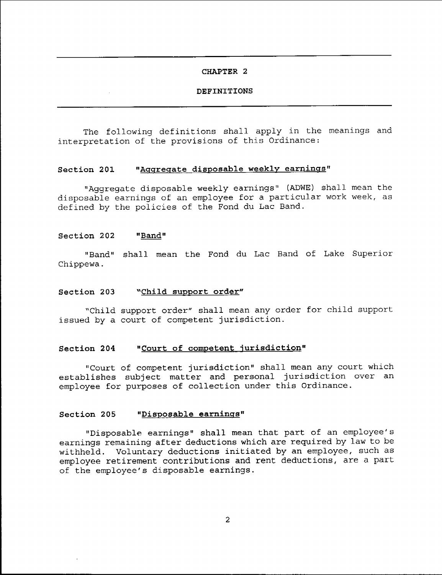### DEFINITIONS

The following definitions shal1 apply in the meanings and interpretation of the provisions of this Ordinance:

# Section 201 "Aggregate disposable weekly earnings"

"Aggregate disposable weekly earnings" (ADWE) shall mean the disposable earnings of an employee for a particular work week, as defined by the policies of the Fond du Lac Band.

#### Section 202 "Band"

"Band" shall mean the Fond du Lac Band of Lake Superi Chippewa.

#### Section 203 "Child support order"

"Child support order" shall mean any order for child suppor issued by a court of competent jurisdicti

### Section 204 "Court of competent jurisdiction"

"Court of competent jurisdiction" shall mean any court which establishes subject matter and personal jurisdiction over an employee for purposes of collection under this Ordinance.

# Section 205 "Disposable earnings"

"Disposable earnings" shall mean that part of an employee's earnings remaining after deductions which are required by 1aw to be withheLd. Voluntary deductions initiated by an employee, such as employee retirement contributions and rent deductions, are a part of the employee's disposable earnings.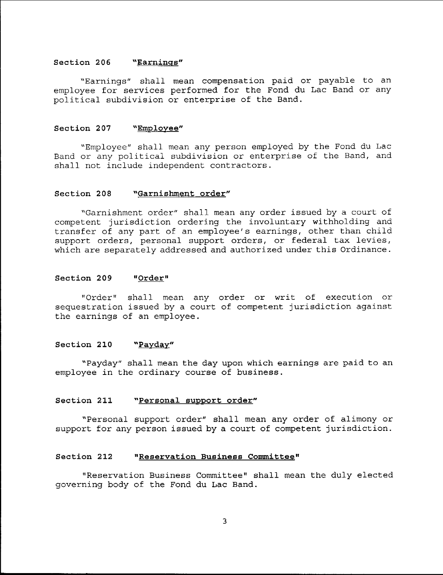# Seetion 205 "Earninqs"

"Earnings" shall mean compensation paid or payable to an employee for services performed for the Fond du Lac Band or any political subdivision or enterprise of the Band.

#### Section 207 "Employee"

"Employee" shall mean any person employed by the Fond du Lac Band or any political subdivision or enterprise of the Band, and shall not include independent contractors.

## Section 208 "Garnishment order"

"Garnishment order" shall mean any order issued by a court of competent jurisdiction ordering the involuntary withholding and transfer of any part of an employee's earnings, other than child support orders, personal support orders, or federal tax levies, which are separately addressed and authorized under this Ordinance.

#### Section 209 "Order"

"Order" shall mean any order or writ of execution or sequestration issued by a court of competent jurisdiction against. the earnings of an employee.

## Section 210 "Payday"

"Payday" shalI mean the day upon which earnings are paid to an employee in the ordinary course of business.

## Section 211 "Personal support order"

"Personal support order" sha1l mean any order of alimony or support for any person issued by a court of competent jurisdiction.

#### Section 212 "Reservation Business Committee"

"Reservation Business Committee" shall mean the duly elected governing body of the Fond du Lac Band.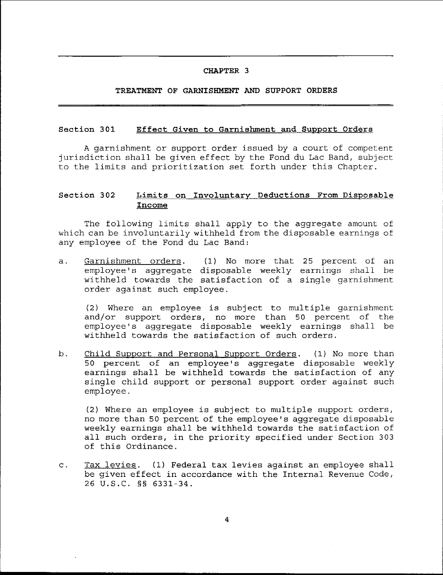#### TREATMENT OF GARNISHMENT AND SUPPORT ORDERS

#### Section 301 Effect Given to Garnishment and Support Orders

A garnishment or support order issued by a court of competent jurisdiction shall be given effect by the Fond du Lac Band, subject to the limits and prioritization set forth under this Chapter.

# Section 302 Limits on Involuntary Deductions From Disposable Income

The following limits shall apply to the aggregate amount of which can be invoJuntarily withheld from the disposable earnings of any employee of the Fond du Lac Band:

a. Garnishment orders. (1) No more that 25 percent of an employee's aggregate disposable weekly earnings shall be withheld towards the satisfaction of a single garnishment order against such employee.

(2) Where an employee is subject to multiple garnishment and/or support orders, no more than 50 percent of the employee's aggregate disposable weekly earnings sha1l be withheld towards the satisfaction of such orders.

b. Child Support and Personal Support Orders. (1) No more than 50 percent of an employee's aggregate disposable weekly earnings shall be withheld towards the satisfaction of any single child support or personal support order against such employee,

 $(2)$  Where an employee is subject to multiple support orders, no more than 50 percent of the employee's aggregate disposable weekly earnings shall be withheld towards the satisfaction of all such orders, in the priority specified under Section 303 of this ordinance.

c. Tax levies. (1) Federal tax levies against an employee shall be given effect in accordance with the Internal Revenue Code, 26 U.S.C. SS 6331-34.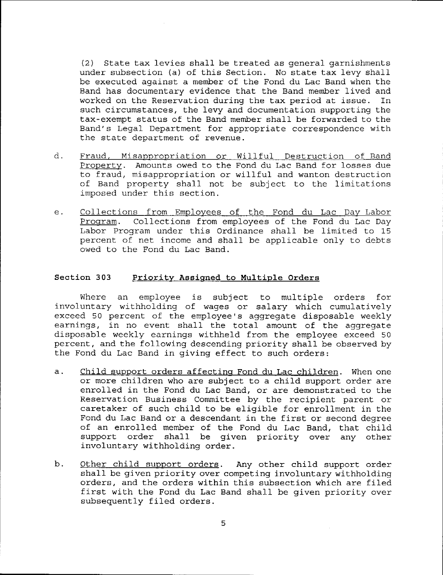$(2)$  State tax levies shall be treated as general garnishments under subsection (a) of this Section. No state tax levy shall be executed against a member of the Fond du Lac Band when the Band has documentary evidence that the Band member lived and worked on the Reservation during the tax period at issue. In such circumstances, the levy and documentation supporting the tax-exempt status of the Band member shal1 be forwarded to the Band's Legal Department for appropriate correspondence with the state department of revenue.

- d Fraud. Misappropriation or Willful- Destruction of Band Property. Amounts owed to the Fond du Lac Band for losses due to fraud, misappropriation or willful and wanton destruction of Band property shall not be subject to the Iimitations imposed under this section.
- Collections from Employees of the Fond du Lac Day Labor e. Proqram. ColJections from employees of the Fond du Lac Day Labor program under this Ordinance shall be limited to 15 percent of net income and shall be applicable only to debts owed to the Fond du Lac Band.

# Section 303 Priority Assigned to Multiple Orders

Where an employee is subject to multiple orders for involuntary withholding of wages or salary which cumulatively exceed 50 percent of the employee's aggregate disposable weekly earnings, in no event shall the total amount of the aggregate disposable weekly earnings withheld from the employee exceed 50 percent, and the following descending priority shall be observed by the Fond du Lac Band in giving effect to such orders:

- Child support orders affecting Fond du Lac children. When one  $a<sub>1</sub>$ or more children who are subject to a child support order are enrolled in the Fond du Lac Band, or are demonstrated to the Reservation Business Committee by the recipient parent or caretaker of such child to be eligible for enrollment in the Fond du Lac Band or a descendant in the first or second degree of an enrolled member of the Fond du Lac Band, that child support order shall be given priority over any other involuntary withholding order.
- Other child support orders. Any other child support order shall be given priority over competing involuntary withholding orders, and the orders within this subsection which are filed first with the Fond du Lac Band shall be given priority over subsequently filed orders.  $b$ .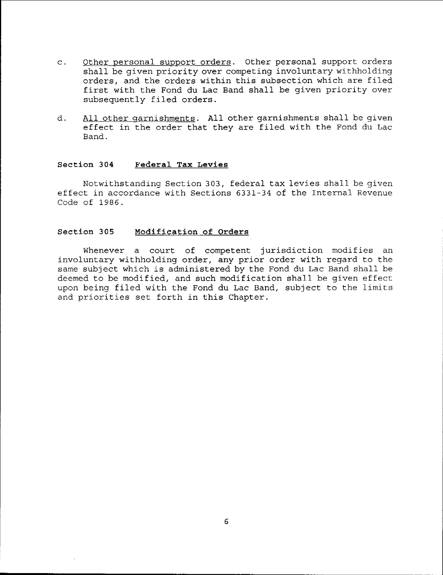- $\mathbf{c}$ . Other personal support orders. Other personal support orders shall be given priority over competing involuntary withholding orders, and the orders within this subsection which are filed first with the Fond du Lac Band shall be given priority over subsequently filed orders.
- $d$ . All other garnishments. All other garnishments shall be given effect in the order that they are filed with the Fond du Lac Band.

# Section 304 Federal Tax Levies

Notwithstanding Section 303, federal tax levies shall be given effect in accordance with Sections 6331-34 of the Internal Revenue Code of 1985.

# Section 305 Modification of Orders

Whenever a court of competent jurisdiction modifies an involuntary withholding erder, any prior order with regard to the same subject which is administered by the Fond du Lac Band shall be deemed to be modified, and such modification shaIl be given effect upon being filed with the Fond du Lac Band, subject to the limits and priorities set forth in this Chapter.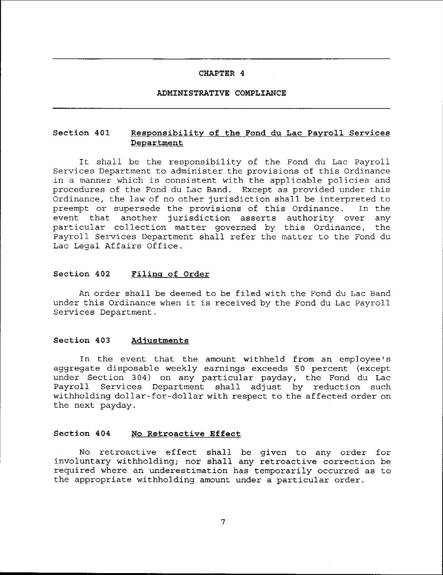#### ADMINI STRATIVE COMPLIANCE

# Section 401 Responsibility of the Fond du Lac Payroll Services Department

It shall be the responsibility of the Fond du Lac Payroll Services Department to administer the provisions of this Ordinance in a manner which is consistent with the applicable policies and procedures of the Fond du Lac Band. Except as provided under this Ordinance, the law of no other jurisdiction shall be interpreted to preempt or supersede the provisions of this Ordinance. In the event. that another jurisdiction asserts authority over any particular coJlection matter governed by this Ordinance, the Payroll Services Department shall refer the matter to the Fond du Lac Leqal Affairs Office.

# Section 402 Filinq of Order

An order shall be deemed to be filed with the Fond du Lac Band under this Ordinance when it is received bv the Fond du Lac Pavroll Services Department.

# Section 403 Adiustments

In the event that the amount withheld from an employee's aggregate disposable weekly earnings exceeds 50 percent (except under Section 304) on any particular payday, the Fond du Lac Payroll Services Department shall adjust by reduction such withholding dollar-for-dollar with respect to the affected order on the next payday.

# Section 404 No Retroactive Effect

No retroactive effect shall be given to any order for involuntary withholding; nor shall any retroactive correction be required where an underestimation has temporarily occurred as to the appropriate withholding amount under a particular order.